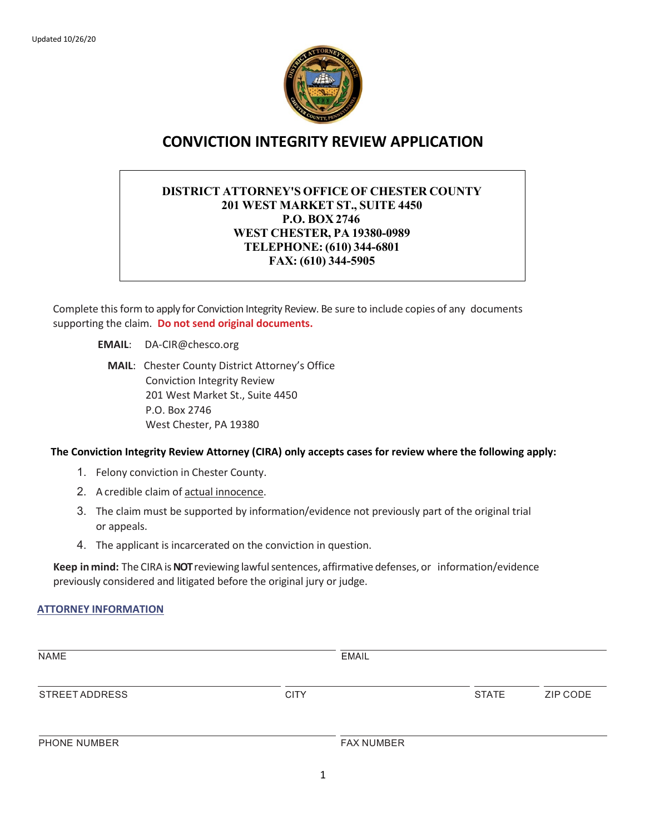

# **CONVICTION INTEGRITY REVIEW APPLICATION**

# **DISTRICT ATTORNEY'S OFFICE OF CHESTER COUNTY 201 WEST MARKET ST., SUITE 4450 P.O. BOX 2746 WEST CHESTER, PA 19380-0989 TELEPHONE: (610) 344-6801 FAX: (610) 344-5905**

Complete this form to apply for Conviction Integrity Review. Be sure to include copies of any documents supporting the claim. **Do not send original documents.**

**EMAIL**: DA-CIR@chesco.org

**MAIL**: Chester County District Attorney's Office Conviction Integrity Review 201 West Market St., Suite 4450 P.O. Box 2746 West Chester, PA 19380

### **The Conviction Integrity Review Attorney (CIRA) only accepts cases for review where the following apply:**

- 1. Felony conviction in Chester County.
- 2. A credible claim of actual innocence.
- 3. The claim must be supported by information/evidence not previously part of the original trial or appeals.
- 4. The applicant is incarcerated on the conviction in question.

Keep in mind: The CIRA is NOT reviewing lawful sentences, affirmative defenses, or information/evidence previously considered and litigated before the original jury or judge.

### **ATTORNEY INFORMATION**

| <b>NAME</b>           |             | <b>EMAIL</b>      |              |          |
|-----------------------|-------------|-------------------|--------------|----------|
| <b>STREET ADDRESS</b> | <b>CITY</b> |                   | <b>STATE</b> | ZIP CODE |
| PHONE NUMBER          |             | <b>FAX NUMBER</b> |              |          |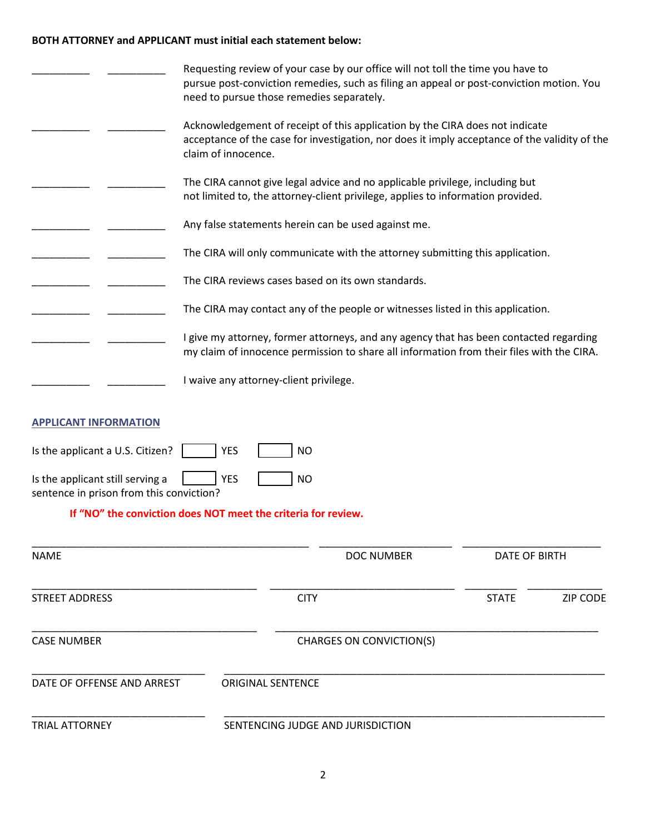# **BOTH ATTORNEY and APPLICANT must initial each statement below:**

|                                                                              | Requesting review of your case by our office will not toll the time you have to<br>pursue post-conviction remedies, such as filing an appeal or post-conviction motion. You<br>need to pursue those remedies separately. |                      |                 |
|------------------------------------------------------------------------------|--------------------------------------------------------------------------------------------------------------------------------------------------------------------------------------------------------------------------|----------------------|-----------------|
|                                                                              | Acknowledgement of receipt of this application by the CIRA does not indicate<br>acceptance of the case for investigation, nor does it imply acceptance of the validity of the<br>claim of innocence.                     |                      |                 |
|                                                                              | The CIRA cannot give legal advice and no applicable privilege, including but<br>not limited to, the attorney-client privilege, applies to information provided.                                                          |                      |                 |
|                                                                              | Any false statements herein can be used against me.                                                                                                                                                                      |                      |                 |
|                                                                              | The CIRA will only communicate with the attorney submitting this application.                                                                                                                                            |                      |                 |
|                                                                              | The CIRA reviews cases based on its own standards.                                                                                                                                                                       |                      |                 |
|                                                                              | The CIRA may contact any of the people or witnesses listed in this application.                                                                                                                                          |                      |                 |
|                                                                              | I give my attorney, former attorneys, and any agency that has been contacted regarding<br>my claim of innocence permission to share all information from their files with the CIRA.                                      |                      |                 |
|                                                                              | I waive any attorney-client privilege.                                                                                                                                                                                   |                      |                 |
| <b>APPLICANT INFORMATION</b>                                                 |                                                                                                                                                                                                                          |                      |                 |
| Is the applicant a U.S. Citizen?                                             | <b>YES</b><br><b>NO</b>                                                                                                                                                                                                  |                      |                 |
| Is the applicant still serving a<br>sentence in prison from this conviction? | <b>YES</b><br><b>NO</b>                                                                                                                                                                                                  |                      |                 |
|                                                                              | If "NO" the conviction does NOT meet the criteria for review.                                                                                                                                                            |                      |                 |
| <b>NAME</b>                                                                  | <b>DOC NUMBER</b>                                                                                                                                                                                                        | <b>DATE OF BIRTH</b> |                 |
| <b>STREET ADDRESS</b>                                                        | <b>CITY</b>                                                                                                                                                                                                              | <b>STATE</b>         | <b>ZIP CODE</b> |
| <b>CASE NUMBER</b>                                                           | <b>CHARGES ON CONVICTION(S)</b>                                                                                                                                                                                          |                      |                 |
| DATE OF OFFENSE AND ARREST                                                   | <b>ORIGINAL SENTENCE</b>                                                                                                                                                                                                 |                      |                 |
| <b>TRIAL ATTORNEY</b>                                                        | SENTENCING JUDGE AND JURISDICTION                                                                                                                                                                                        |                      |                 |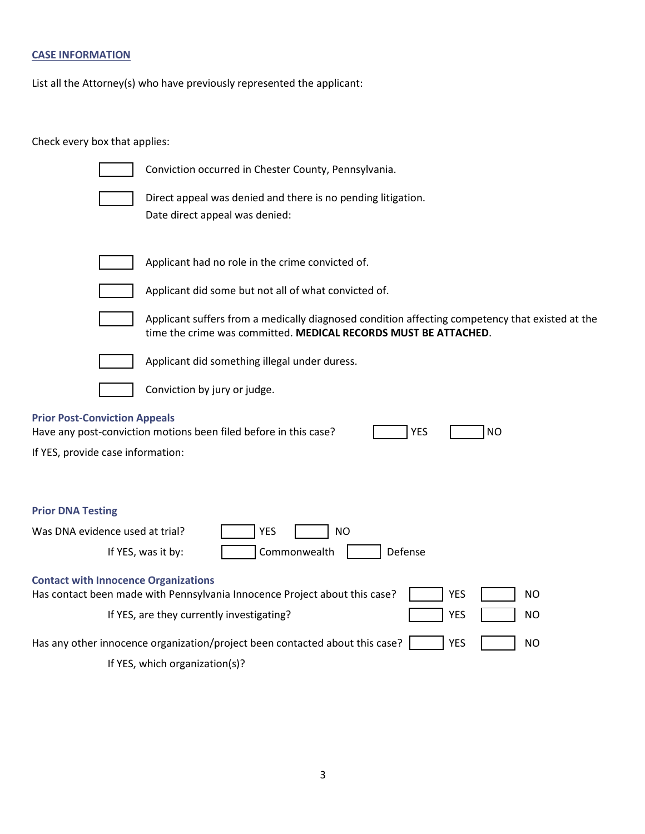# **CASE INFORMATION**

List all the Attorney(s) who have previously represented the applicant:

Check every box that applies:

| Conviction occurred in Chester County, Pennsylvania.                                                                                                                     |
|--------------------------------------------------------------------------------------------------------------------------------------------------------------------------|
| Direct appeal was denied and there is no pending litigation.<br>Date direct appeal was denied:                                                                           |
| Applicant had no role in the crime convicted of.                                                                                                                         |
| Applicant did some but not all of what convicted of.                                                                                                                     |
| Applicant suffers from a medically diagnosed condition affecting competency that existed at the<br>time the crime was committed. MEDICAL RECORDS MUST BE ATTACHED.       |
| Applicant did something illegal under duress.                                                                                                                            |
| Conviction by jury or judge.                                                                                                                                             |
| <b>Prior Post-Conviction Appeals</b><br>Have any post-conviction motions been filed before in this case?<br><b>YES</b><br><b>NO</b><br>If YES, provide case information: |
| <b>Prior DNA Testing</b><br>Was DNA evidence used at trial?<br><b>YES</b><br>NO.<br>Commonwealth<br>Defense<br>If YES, was it by:                                        |
| <b>Contact with Innocence Organizations</b><br>Has contact been made with Pennsylvania Innocence Project about this case?<br><b>YES</b><br>NO.                           |
| If YES, are they currently investigating?<br><b>YES</b><br>NO.                                                                                                           |
| <b>YES</b><br>Has any other innocence organization/project been contacted about this case?<br><b>NO</b>                                                                  |
| If YES, which organization(s)?                                                                                                                                           |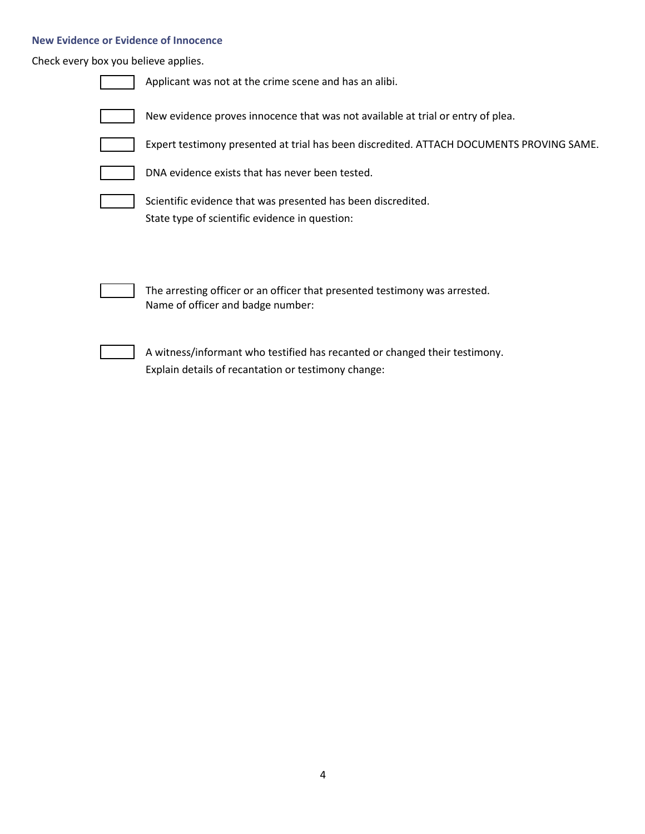## **New Evidence or Evidence of Innocence**

Check every box you believe applies.

| Applicant was not at the crime scene and has an alibi.                                                                            |
|-----------------------------------------------------------------------------------------------------------------------------------|
| New evidence proves innocence that was not available at trial or entry of plea.                                                   |
| Expert testimony presented at trial has been discredited. ATTACH DOCUMENTS PROVING SAME.                                          |
| DNA evidence exists that has never been tested.                                                                                   |
| Scientific evidence that was presented has been discredited.<br>State type of scientific evidence in question:                    |
| The arresting officer or an officer that presented testimony was arrested.<br>Name of officer and badge number:                   |
| A witness/informant who testified has recanted or changed their testimony.<br>Explain details of recantation or testimony change: |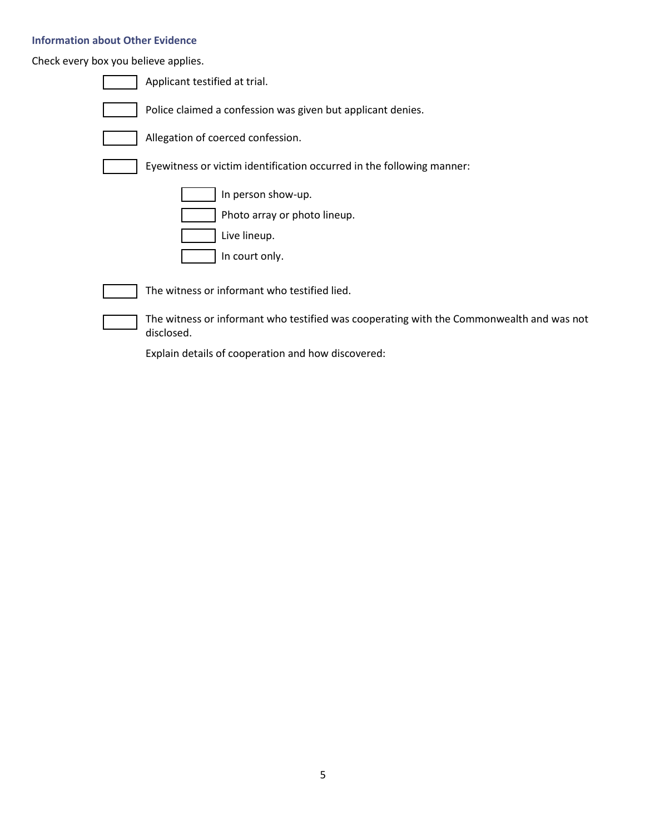## **Information about Other Evidence**

Check every box you believe applies.

| Applicant testified at trial.                                                                          |
|--------------------------------------------------------------------------------------------------------|
| Police claimed a confession was given but applicant denies.                                            |
| Allegation of coerced confession.                                                                      |
| Eyewitness or victim identification occurred in the following manner:                                  |
| In person show-up.<br>Photo array or photo lineup.<br>Live lineup.<br>In court only.                   |
| The witness or informant who testified lied.                                                           |
| The witness or informant who testified was cooperating with the Commonwealth and was not<br>disclosed. |

Explain details of cooperation and how discovered: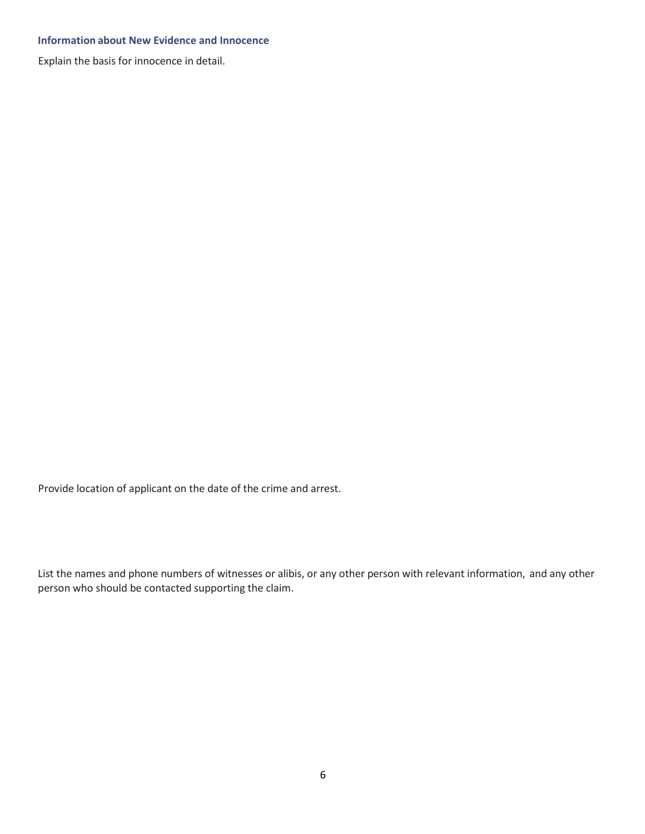#### **Information about New Evidence and Innocence**

Explain the basis for innocence in detail.

Provide location of applicant on the date of the crime and arrest.

List the names and phone numbers of witnesses or alibis, or any other person with relevant information, and any other person who should be contacted supporting the claim.